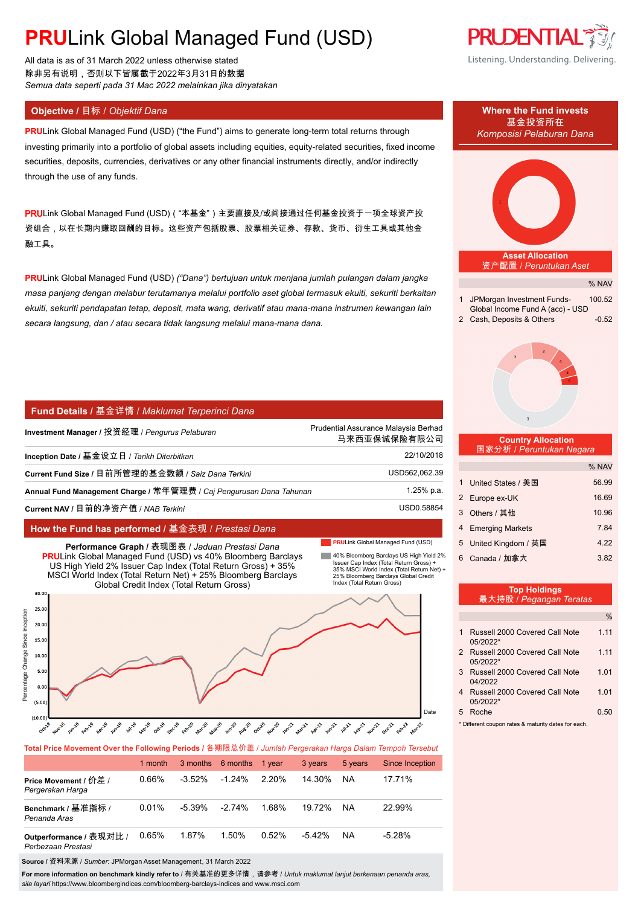# **PRU**Link Global Managed Fund (USD)

All data is as of 31 March 2022 unless otherwise stated 除非另有说明,否则以下皆属截于2022年3月31日的数据 *Semua data seperti pada 31 Mac 2022 melainkan jika dinyatakan*

**PRU**Link Global Managed Fund (USD) ("the Fund") aims to generate long-term total returns through investing primarily into a portfolio of global assets including equities, equity-related securities, fixed income securities, deposits, currencies, derivatives or any other financial instruments directly, and/or indirectly through the use of any funds.

PRULink Global Managed Fund (USD) ("本基金") 主要直接及/或间接通过任何基金投资于一项全球资产投 资组合,以在长期内赚取回酬的目标。这些资产包括股票、股票相关证券、存款、货币、衍生工具或其他金 融工具。

**PRU**Link Global Managed Fund (USD) *("Dana") bertujuan untuk menjana jumlah pulangan dalam jangka masa panjang dengan melabur terutamanya melalui portfolio aset global termasuk ekuiti, sekuriti berkaitan ekuiti, sekuriti pendapatan tetap, deposit, mata wang, derivatif atau mana-mana instrumen kewangan lain secara langsung, dan / atau secara tidak langsung melalui mana-mana dana.*

## **Fund Details /** 基金详情 / *Maklumat Terperinci Dana*

| Investment Manager / 投资经理 / <i>Penqurus Pelaburan</i>               | Prudential Assurance Malaysia Berhad<br>马来西亚保诚保险有限公司 |
|---------------------------------------------------------------------|------------------------------------------------------|
| Inception Date / 基金设立日 / Tarikh Diterbitkan                         | 22/10/2018                                           |
| Current Fund Size / 目前所管理的基金数额 / Saiz Dana Terkini                  | USD562,062.39                                        |
| Annual Fund Management Charge / 常年管理费 / Cai Pengurusan Dana Tahunan | 1.25% p.a.                                           |
| Current NAV / 目前的净资产值 / NAB Terkini                                 | USD0.58854                                           |

### **How the Fund has performed /** 基金表现 / *Prestasi Dana*

### **PRULink Global Managed Fund (USD)**

40% Bloomberg Barclays US High Yield 2% Issuer Cap Index (Total Return Gross) + 35% MSCI World Index (Total Return Net) + 25% Bloomberg Barclays Global Credit Index (Total Return Gross) **Performance Graph /** 表现图表 / *Jaduan Prestasi Dana* **PRU**Link Global Managed Fund (USD) vs 40% Bloomberg Barclays US High Yield 2% Issuer Cap Index (Total Return Gross) + 35% MSCI World Index (Total Return Net) + 25% Bloomberg Barclays



**Total Price Movement Over the Following Periods /** 各期限总价差 / *Jumlah Pergerakan Harga Dalam Tempoh Tersebut*

|                                               | 1 month |           | 3 months 6 months 1 year |          | 3 years   | 5 years | Since Inception |
|-----------------------------------------------|---------|-----------|--------------------------|----------|-----------|---------|-----------------|
| Price Movement / 价差 /<br>Pergerakan Harga     | 0.66%   | $-3.52\%$ | $-1.24\%$                | 2.20%    | 14.30%    | ΝA      | 17.71%          |
| Benchmark / 基准指标 /<br>Penanda Aras            | 0.01%   | $-5.39\%$ | $-2.74\%$                | 1.68%    | 19.72%    | ΝA      | 22.99%          |
| Outperformance / 表现对比 /<br>Perbezaan Prestasi | 0.65%   | 1.87%     | 1.50%                    | $0.52\%$ | $-5.42\%$ | ΝA      | $-5.28%$        |

**Source /** 资料来源 / *Sumber*: JPMorgan Asset Management, 31 March 2022

**For more information on benchmark kindly refer to** / 有关基准的更多详情,请参考 / *Untuk maklumat lanjut berkenaan penanda aras, sila layari* https://www.bloombergindices.com/bloomberg-barclays-indices and www.msci.com





- 04/2022 4 Russell 2000 Covered Call Note 1.01 05/2022\*
- 5 Roche 0.50

\* Different coupon rates & maturity dates for each.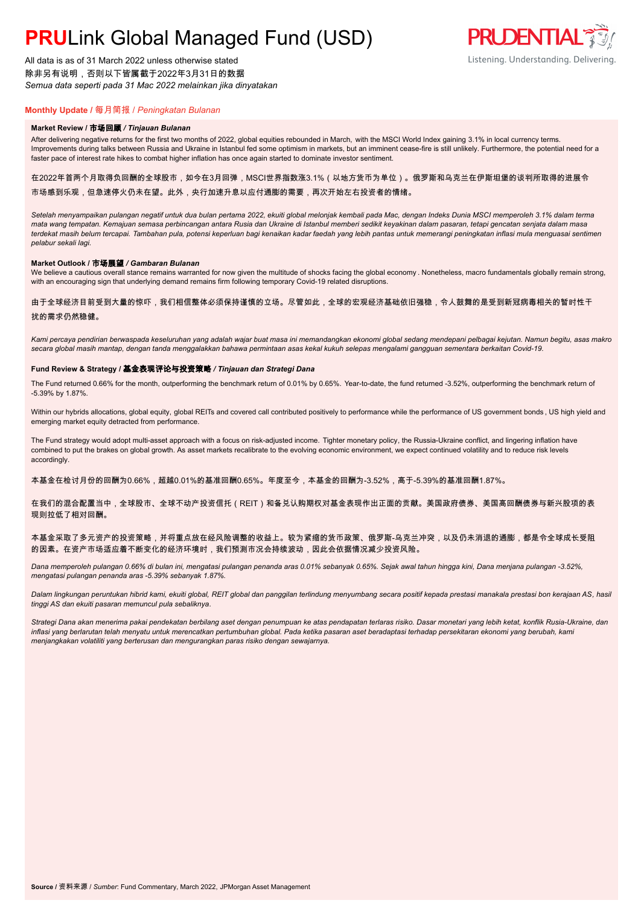# **PRU**Link Global Managed Fund (USD)

All data is as of 31 March 2022 unless otherwise stated 除非另有说明,否则以下皆属截于2022年3月31日的数据 *Semua data seperti pada 31 Mac 2022 melainkan jika dinyatakan*

# **Monthly Update /** 每月简报 / *Peningkatan Bulanan*

#### **Market Review /** 市场回顾 */ Tinjauan Bulanan*

After delivering negative returns for the first two months of 2022, global equities rebounded in March, with the MSCI World Index gaining 3.1% in local currency terms. Improvements during talks between Russia and Ukraine in Istanbul fed some optimism in markets, but an imminent cease-fire is still unlikely. Furthermore, the potential need for a faster pace of interest rate hikes to combat higher inflation has once again started to dominate investor sentiment.

在2022年首两个月取得负回酬的全球股市,如今在3月回弹,MSCI世界指数涨3.1%(以地方货币为单位)。俄罗斯和乌克兰在伊斯坦堡的谈判所取得的进展令 市场感到乐观,但急速停火仍未在望。此外,央行加速升息以应付通膨的需要,再次开始左右投资者的情绪。

*Setelah menyampaikan pulangan negatif untuk dua bulan pertama 2022, ekuiti global melonjak kembali pada Mac, dengan Indeks Dunia MSCI memperoleh 3.1% dalam terma mata wang tempatan. Kemajuan semasa perbincangan antara Rusia dan Ukraine di Istanbul memberi sedikit keyakinan dalam pasaran, tetapi gencatan senjata dalam masa terdekat masih belum tercapai. Tambahan pula, potensi keperluan bagi kenaikan kadar faedah yang lebih pantas untuk memerangi peningkatan inflasi mula menguasai sentimen pelabur sekali lagi.*

#### **Market Outlook /** 市场展望 */ Gambaran Bulanan*

We believe a cautious overall stance remains warranted for now given the multitude of shocks facing the global economy . Nonetheless, macro fundamentals globally remain strong, with an encouraging sign that underlying demand remains firm following temporary Covid-19 related disruptions.

# 由于全球经济目前受到大量的惊吓,我们相信整体必须保持谨慎的立场。尽管如此,全球的宏观经济基础依旧强稳,令人鼓舞的是受到新冠病毒相关的暂时性干 扰的需求仍然稳健。

*Kami percaya pendirian berwaspada keseluruhan yang adalah wajar buat masa ini memandangkan ekonomi global sedang mendepani pelbagai kejutan. Namun begitu, asas makro secara global masih mantap, dengan tanda menggalakkan bahawa permintaan asas kekal kukuh selepas mengalami gangguan sementara berkaitan Covid-19.*

#### **Fund Review & Strategy /** 基金表现评论与投资策略 */ Tinjauan dan Strategi Dana*

The Fund returned 0.66% for the month, outperforming the benchmark return of 0.01% by 0.65%. Year-to-date, the fund returned -3.52%, outperforming the benchmark return of -5.39% by 1.87%.

Within our hybrids allocations, global equity, global REITs and covered call contributed positively to performance while the performance of US government bonds , US high yield and emerging market equity detracted from performance.

The Fund strategy would adopt multi-asset approach with a focus on risk-adjusted income. Tighter monetary policy, the Russia-Ukraine conflict, and lingering inflation have combined to put the brakes on global growth. As asset markets recalibrate to the evolving economic environment, we expect continued volatility and to reduce risk levels accordingly.

本基金在检讨月份的回酬为0.66%,超越0.01%的基准回酬0.65%。年度至今,本基金的回酬为-3.52%,高于-5.39%的基准回酬1.87%。

在我们的混合配置当中,全球股市、全球不动产投资信托(REIT)和备兑认购期权对基金表现作出正面的贡献。美国政府债券、美国高回酬债券与新兴股项的表 现则拉低了相对回酬。

### 本基金采取了多元资产的投资策略,并将重点放在经风险调整的收益上。较为紧缩的货币政策、俄罗斯-乌克兰冲突,以及仍未消退的通膨,都是令全球成长受阻 的因素。在资产市场适应着不断变化的经济环境时,我们预测市况会持续波动,因此会依据情况减少投资风险。

*Dana memperoleh pulangan 0.66% di bulan ini, mengatasi pulangan penanda aras 0.01% sebanyak 0.65%. Sejak awal tahun hingga kini, Dana menjana pulangan -3.52%, mengatasi pulangan penanda aras -5.39% sebanyak 1.87%.*

*Dalam lingkungan peruntukan hibrid kami, ekuiti global, REIT global dan panggilan terlindung menyumbang secara positif kepada prestasi manakala prestasi bon kerajaan AS, hasil tinggi AS dan ekuiti pasaran memuncul pula sebaliknya.*

*Strategi Dana akan menerima pakai pendekatan berbilang aset dengan penumpuan ke atas pendapatan terlaras risiko. Dasar monetari yang lebih ketat, konflik Rusia-Ukraine, dan inflasi yang berlarutan telah menyatu untuk merencatkan pertumbuhan global. Pada ketika pasaran aset beradaptasi terhadap persekitaran ekonomi yang berubah, kami menjangkakan volatiliti yang berterusan dan mengurangkan paras risiko dengan sewajarnya.*